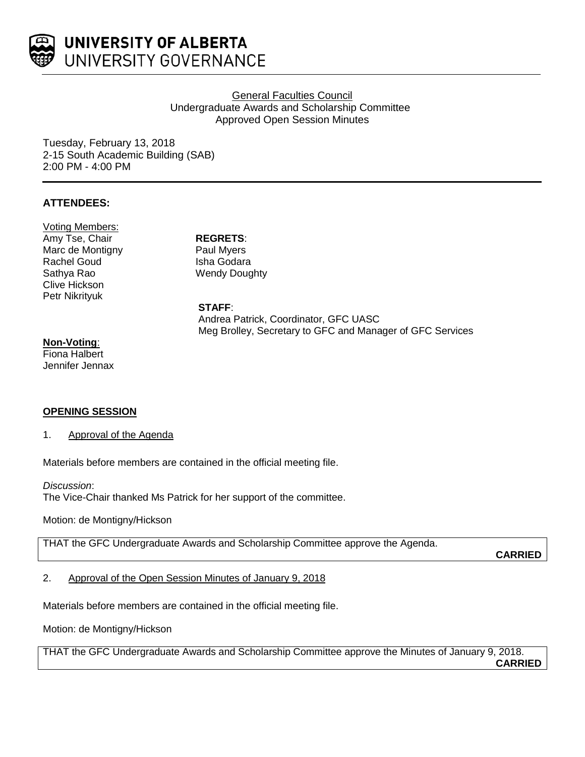

# General Faculties Council Undergraduate Awards and Scholarship Committee Approved Open Session Minutes

Tuesday, February 13, 2018 2-15 South Academic Building (SAB) 2:00 PM - 4:00 PM

# **ATTENDEES:**

Voting Members: Amy Tse, Chair **REGRETS**: Marc de Montigny Rachel Goud Sathya Rao Clive Hickson Petr Nikrityuk

Paul Myers Isha Godara Wendy Doughty

**STAFF**: Andrea Patrick, Coordinator, GFC UASC Meg Brolley, Secretary to GFC and Manager of GFC Services

## **Non-Voting**:

Fiona Halbert Jennifer Jennax

### **OPENING SESSION**

1. Approval of the Agenda

Materials before members are contained in the official meeting file.

*Discussion*:

The Vice-Chair thanked Ms Patrick for her support of the committee.

Motion: de Montigny/Hickson

THAT the GFC Undergraduate Awards and Scholarship Committee approve the Agenda.

**CARRIED**

2. Approval of the Open Session Minutes of January 9, 2018

Materials before members are contained in the official meeting file.

Motion: de Montigny/Hickson

THAT the GFC Undergraduate Awards and Scholarship Committee approve the Minutes of January 9, 2018. **CARRIED**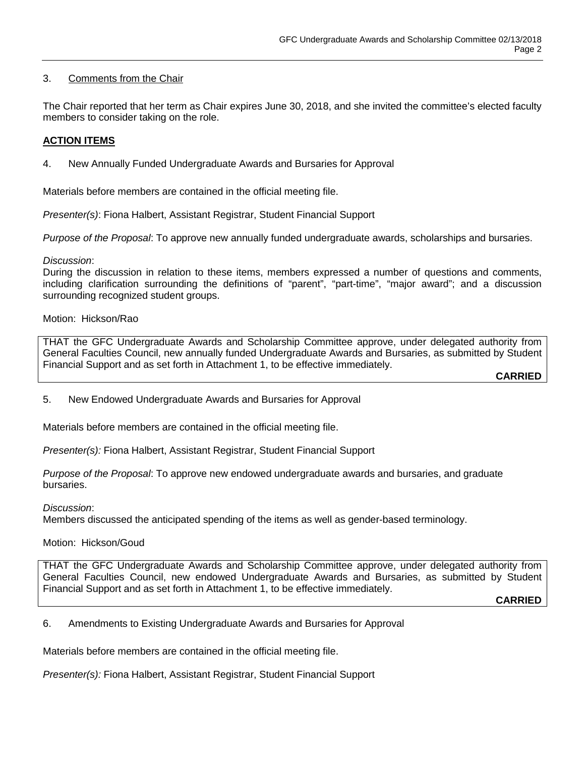# 3. Comments from the Chair

The Chair reported that her term as Chair expires June 30, 2018, and she invited the committee's elected faculty members to consider taking on the role.

## **ACTION ITEMS**

4. New Annually Funded Undergraduate Awards and Bursaries for Approval

Materials before members are contained in the official meeting file.

*Presenter(s)*: Fiona Halbert, Assistant Registrar, Student Financial Support

*Purpose of the Proposal*: To approve new annually funded undergraduate awards, scholarships and bursaries.

### *Discussion*:

During the discussion in relation to these items, members expressed a number of questions and comments, including clarification surrounding the definitions of "parent", "part-time", "major award"; and a discussion surrounding recognized student groups.

## Motion: Hickson/Rao

THAT the GFC Undergraduate Awards and Scholarship Committee approve, under delegated authority from General Faculties Council, new annually funded Undergraduate Awards and Bursaries, as submitted by Student Financial Support and as set forth in Attachment 1, to be effective immediately.

**CARRIED**

5. New Endowed Undergraduate Awards and Bursaries for Approval

Materials before members are contained in the official meeting file.

*Presenter(s):* Fiona Halbert, Assistant Registrar, Student Financial Support

*Purpose of the Proposal*: To approve new endowed undergraduate awards and bursaries, and graduate bursaries.

*Discussion*:

Members discussed the anticipated spending of the items as well as gender-based terminology.

### Motion: Hickson/Goud

THAT the GFC Undergraduate Awards and Scholarship Committee approve, under delegated authority from General Faculties Council, new endowed Undergraduate Awards and Bursaries, as submitted by Student Financial Support and as set forth in Attachment 1, to be effective immediately.

**CARRIED**

6. Amendments to Existing Undergraduate Awards and Bursaries for Approval

Materials before members are contained in the official meeting file.

*Presenter(s):* Fiona Halbert, Assistant Registrar, Student Financial Support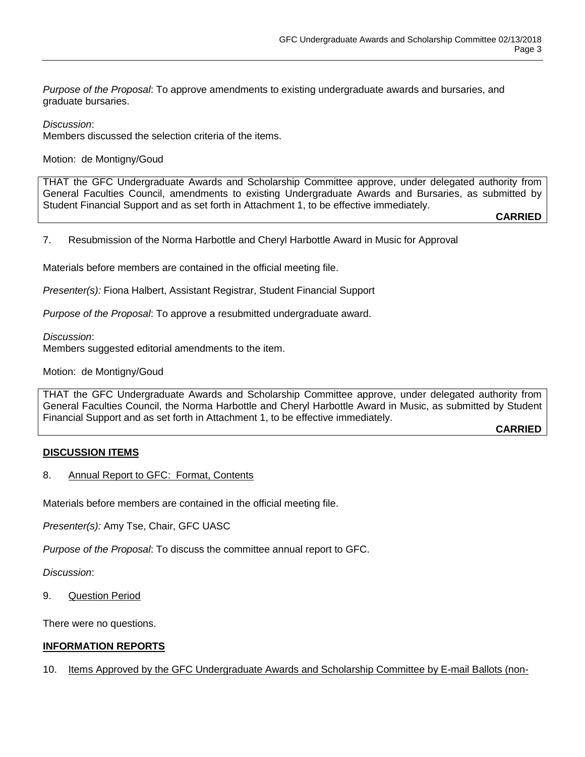*Purpose of the Proposal*: To approve amendments to existing undergraduate awards and bursaries, and graduate bursaries.

*Discussion*:

Members discussed the selection criteria of the items.

Motion: de Montigny/Goud

THAT the GFC Undergraduate Awards and Scholarship Committee approve, under delegated authority from General Faculties Council, amendments to existing Undergraduate Awards and Bursaries, as submitted by Student Financial Support and as set forth in Attachment 1, to be effective immediately.

**CARRIED**

7. Resubmission of the Norma Harbottle and Cheryl Harbottle Award in Music for Approval

Materials before members are contained in the official meeting file.

*Presenter(s):* Fiona Halbert, Assistant Registrar, Student Financial Support

*Purpose of the Proposal*: To approve a resubmitted undergraduate award.

*Discussion*:

Members suggested editorial amendments to the item.

Motion: de Montigny/Goud

THAT the GFC Undergraduate Awards and Scholarship Committee approve, under delegated authority from General Faculties Council, the Norma Harbottle and Cheryl Harbottle Award in Music, as submitted by Student Financial Support and as set forth in Attachment 1, to be effective immediately.

**CARRIED**

### **DISCUSSION ITEMS**

8. Annual Report to GFC: Format, Contents

Materials before members are contained in the official meeting file.

*Presenter(s):* Amy Tse, Chair, GFC UASC

*Purpose of the Proposal*: To discuss the committee annual report to GFC.

*Discussion*:

9. Question Period

There were no questions.

## **INFORMATION REPORTS**

10. Items Approved by the GFC Undergraduate Awards and Scholarship Committee by E-mail Ballots (non-